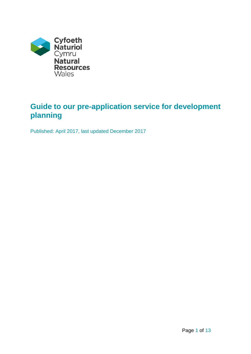

# **Guide to our pre-application service for development planning**

Published: April 2017, last updated December 2017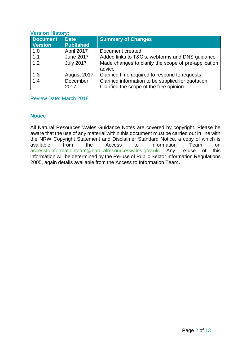#### **Version History:**

| <b>Document</b><br><b>Version</b> | <b>Date</b><br><b>Published</b> | <b>Summary of Changes</b>                                                                     |
|-----------------------------------|---------------------------------|-----------------------------------------------------------------------------------------------|
| 1.0                               | April 2017                      | Document created                                                                              |
| 1.1                               | <b>June 2017</b>                | Added links to T&C's, webforms and DNS guidance                                               |
| 1.2                               | <b>July 2017</b>                | Made changes to clarify the scope of pre-application<br>advice                                |
| 1.3                               | August 2017                     | Clarified time required to respond to requests                                                |
| 1.4                               | December<br>2017                | Clarified information to be supplied for quotation<br>Clarified the scope of the free opinion |

Review Date: March 2018

## **Notice**

All Natural Resources Wales Guidance Notes are covered by copyright. Please be aware that the use of any material within this document must be carried out in line with the NRW Copyright Statement and Disclaimer Standard Notice, a copy of which is available from the Access to Information Team on [accesstoinformationteam@naturalresourceswales.gov.uk.](mailto:accesstoinformationteam@naturalresourceswales.gov.uk) Any re-use of this information will be determined by the Re-use of Public Sector Information Regulations 2005, again details available from the Access to Information Team**.**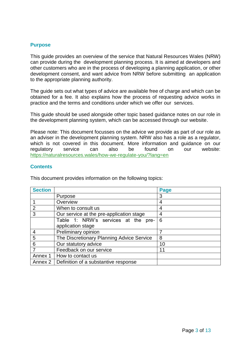## **Purpose**

This guide provides an overview of the service that Natural Resources Wales (NRW) can provide during the development planning process. It is aimed at developers and other customers who are in the process of developing a planning application, or other development consent, and want advice from NRW before submitting an application to the appropriate planning authority.

The guide sets out what types of advice are available free of charge and which can be obtained for a fee. It also explains how the process of requesting advice works in practice and the terms and conditions under which we offer our services.

This guide should be used alongside other topic based guidance notes on our role in the development planning system, which can be accessed through our website.

Please note: This document focusses on the advice we provide as part of our role as an adviser in the development planning system. NRW also has a role as a regulator, which is not covered in this document. More information and guidance on our regulatory service can also be found on our website: <https://naturalresources.wales/how-we-regulate-you/?lang=en>

## **Contents**

This document provides information on the following topics:

| <b>Section</b> |                                                | Page |
|----------------|------------------------------------------------|------|
|                | Purpose                                        | 3    |
|                | Overview                                       | 4    |
| $\overline{2}$ | When to consult us                             | 4    |
| 3              | Our service at the pre-application stage       | 4    |
|                | Table 1: NRW's services at the pre-            | 6    |
|                | application stage                              |      |
| $\overline{4}$ | Preliminary opinion                            |      |
| 5              | The Discretionary Planning Advice Service      | 8    |
| 6              | Our statutory advice                           | 10   |
| $\overline{7}$ | Feedback on our service                        | 11   |
| Annex 1        | How to contact us                              |      |
|                | Annex 2   Definition of a substantive response |      |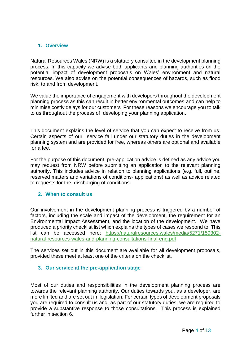## **1. Overview**

Natural Resources Wales (NRW) is a statutory consultee in the development planning process. In this capacity we advise both applicants and planning authorities on the potential impact of development proposals on Wales' environment and natural resources. We also advise on the potential consequences of hazards, such as flood risk, to and from development.

We value the importance of engagement with developers throughout the development planning process as this can result in better environmental outcomes and can help to minimise costly delays for our customers For these reasons we encourage you to talk to us throughout the process of developing your planning application.

This document explains the level of service that you can expect to receive from us. Certain aspects of our service fall under our statutory duties in the development planning system and are provided for free, whereas others are optional and available for a fee.

For the purpose of this document, pre-application advice is defined as any advice you may request from NRW before submitting an application to the relevant planning authority. This includes advice in relation to planning applications (e.g. full, outline, reserved matters and variations of conditions- applications) as well as advice related to requests for the discharging of conditions.

## **2. When to consult us**

Our involvement in the development planning process is triggered by a number of factors, including the scale and impact of the development, the requirement for an Environmental Impact Assessment, and the location of the development. We have produced a priority checklist list which explains the types of cases we respond to. This list can be accessed here: [https://naturalresources.wales/media/5271/150302](https://naturalresources.wales/media/5271/150302-natural-resources-wales-and-planning-consultations-final-eng.pdf) [natural-resources-wales-and-planning-consultations-final-eng.pdf](https://naturalresources.wales/media/5271/150302-natural-resources-wales-and-planning-consultations-final-eng.pdf)

The services set out in this document are available for all development proposals, provided these meet at least one of the criteria on the checklist.

## **3. Our service at the pre-application stage**

Most of our duties and responsibilities in the development planning process are towards the relevant planning authority. Our duties towards you, as a developer, are more limited and are set out in legislation. For certain types of development proposals you are required to consult us and, as part of our statutory duties, we are required to provide a substantive response to those consultations. This process is explained further in section 6.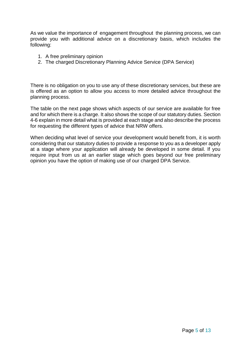As we value the importance of engagement throughout the planning process, we can provide you with additional advice on a discretionary basis, which includes the following:

- 1. A free preliminary opinion
- 2. The charged Discretionary Planning Advice Service (DPA Service)

There is no obligation on you to use any of these discretionary services, but these are is offered as an option to allow you access to more detailed advice throughout the planning process.

The table on the next page shows which aspects of our service are available for free and for which there is a charge. It also shows the scope of our statutory duties. Section 4-6 explain in more detail what is provided at each stage and also describe the process for requesting the different types of advice that NRW offers.

When deciding what level of service your development would benefit from, it is worth considering that our statutory duties to provide a response to you as a developer apply at a stage where your application will already be developed in some detail. If you require input from us at an earlier stage which goes beyond our free preliminary opinion you have the option of making use of our charged DPA Service.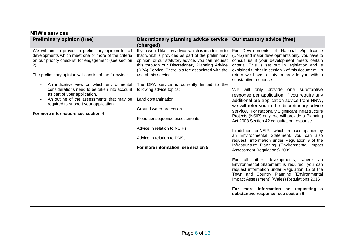| <b>Preliminary opinion (free)</b>                                                                                                                                                                                                                                                                                                                                                                                                                                                             | Discretionary planning advice service<br>(charged)                                                                                                                                                                                                                                                                                                                                                                                                                                                                                                             | Our statutory advice (free)                                                                                                                                                                                                                                                                                                                                                                                                                                                                                                                                                                                                                                                                                                                                                                                                                                                                                                                                                                                                                                                                                                                                                                                                        |
|-----------------------------------------------------------------------------------------------------------------------------------------------------------------------------------------------------------------------------------------------------------------------------------------------------------------------------------------------------------------------------------------------------------------------------------------------------------------------------------------------|----------------------------------------------------------------------------------------------------------------------------------------------------------------------------------------------------------------------------------------------------------------------------------------------------------------------------------------------------------------------------------------------------------------------------------------------------------------------------------------------------------------------------------------------------------------|------------------------------------------------------------------------------------------------------------------------------------------------------------------------------------------------------------------------------------------------------------------------------------------------------------------------------------------------------------------------------------------------------------------------------------------------------------------------------------------------------------------------------------------------------------------------------------------------------------------------------------------------------------------------------------------------------------------------------------------------------------------------------------------------------------------------------------------------------------------------------------------------------------------------------------------------------------------------------------------------------------------------------------------------------------------------------------------------------------------------------------------------------------------------------------------------------------------------------------|
| We will aim to provide a preliminary opinion for all<br>developments which meet one or more of the criteria<br>on our priority checklist for engagement (see section<br>2)<br>The preliminary opinion will consist of the following:<br>An indicative view on which environmental<br>considerations need to be taken into account<br>as part of your application.<br>An outline of the assessments that may be<br>required to support your application<br>For more information: see section 4 | If you would like any advice which is in addition to<br>that which is provided as part of the preliminary<br>opinion, or our statutory advice, you can request<br>this through our Discretionary Planning Advice<br>(DPA) Service. There is a fee associated with the<br>use of this service.<br>The DPA service is currently limited to the<br>following advice topics:<br>Land contamination<br>Ground water protection<br>Flood consequence assessments<br>Advice in relation to NSIPs<br>Advice in relation to DNSs<br>For more information: see section 5 | For Developments of National Significance<br>(DNS) and major developments only, you have to<br>consult us if your development meets certain<br>criteria. This is set out in legislation and is<br>explained further in section 6 of this document. In<br>return we have a duty to provide you with a<br>substantive response.<br>We will only provide one substantive<br>response per application. If you require any<br>additional pre-application advice from NRW,<br>we will refer you to the discretionary advice<br>service. For Nationally Significant Infrastructure<br>Projects (NSIP) only, we will provide a Planning<br>Act 2008 Section 42 consultation response<br>In addition, for NSIPs, which are accompanied by<br>an Environmental Statement, you can also<br>request information under Regulation 9 of the<br>Infrastructure Planning (Environmental Impact<br>Assessment Regulations) 2009<br>For all other developments, where an<br>Environmental Statement is required, you can<br>request information under Regulation 15 of the<br>Town and Country Planning (Environmental<br>Impact Assessment) (Wales) Regulations 2016<br>For more information on requesting a<br>substantive response: see section 6 |
|                                                                                                                                                                                                                                                                                                                                                                                                                                                                                               |                                                                                                                                                                                                                                                                                                                                                                                                                                                                                                                                                                |                                                                                                                                                                                                                                                                                                                                                                                                                                                                                                                                                                                                                                                                                                                                                                                                                                                                                                                                                                                                                                                                                                                                                                                                                                    |

## **NRW's services**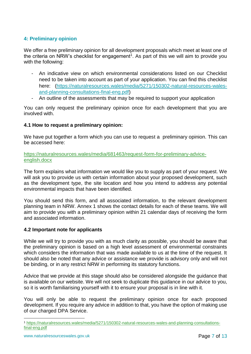## **4: Preliminary opinion**

We offer a free preliminary opinion for all development proposals which meet at least one of the criteria on NRW's checklist for engagement<sup>1</sup>. As part of this we will aim to provide you with the following:

- An indicative view on which environmental considerations listed on our Checklist need to be taken into account as part of your application. You can find this checklist here: [\(https://naturalresources.wales/media/5271/150302-natural-resources-wales](https://naturalresources.wales/media/5271/150302-natural-resources-wales-and-planning-consultations-final-eng.pdf)[and-planning-consultations-final-eng.pdf\)](https://naturalresources.wales/media/5271/150302-natural-resources-wales-and-planning-consultations-final-eng.pdf)
- An outline of the assessments that may be required to support your application

You can only request the preliminary opinion once for each development that you are involved with.

## **4.1 How to request a preliminary opinion:**

We have put together a form which you can use to request a preliminary opinion. This can be accessed here:

[https://naturalresources.wales/media/681463/request-form-for-preliminary-advice](https://naturalresources.wales/media/681463/request-form-for-preliminary-advice-english.docx)[english.docx](https://naturalresources.wales/media/681463/request-form-for-preliminary-advice-english.docx)

The form explains what information we would like you to supply as part of your request. We will ask you to provide us with certain information about your proposed development, such as the development type, the site location and how you intend to address any potential environmental impacts that have been identified.

You should send this form, and all associated information, to the relevant development planning team in NRW. Annex 1 shows the contact details for each of these teams. We will aim to provide you with a preliminary opinion within 21 calendar days of receiving the form and associated information.

## **4.2 Important note for applicants**

While we will try to provide you with as much clarity as possible, you should be aware that the preliminary opinion is based on a high level assessment of environmental constraints which considers the information that was made available to us at the time of the request. It should also be noted that any advice or assistance we provide is advisory only and will not be binding, or in any restrict NRW in performing its statutory functions.

Advice that we provide at this stage should also be considered alongside the guidance that is available on our website. We will not seek to duplicate this guidance in our advice to you, so it is worth familiarising yourself with it to ensure your proposal is in line with it.

You will only be able to request the preliminary opinion once for each proposed development. If you require any advice in addition to that, you have the option of making use of our charged DPA Service.

1

<sup>1</sup> [https://naturalresources.wales/media/5271/150302-natural-resources-wales-and-planning-consultations](https://naturalresources.wales/media/5271/150302-natural-resources-wales-and-planning-consultations-final-eng.pdf)[final-eng.pdf](https://naturalresources.wales/media/5271/150302-natural-resources-wales-and-planning-consultations-final-eng.pdf)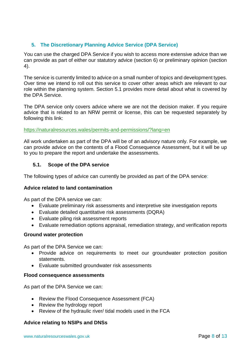## **5. The Discretionary Planning Advice Service (DPA Service)**

You can use the charged DPA Service if you wish to access more extensive advice than we can provide as part of either our statutory advice (section 6) or preliminary opinion (section 4).

The service is currently limited to advice on a small number of topics and development types. Over time we intend to roll out this service to cover other areas which are relevant to our role within the planning system. Section 5.1 provides more detail about what is covered by the DPA Service.

The DPA service only covers advice where we are not the decision maker. If you require advice that is related to an NRW permit or license, this can be requested separately by following this link:

#### <https://naturalresources.wales/permits-and-permissions/?lang=en>

All work undertaken as part of the DPA will be of an advisory nature only. For example, we can provide advice on the contents of a Flood Consequence Assessment, but it will be up to you to prepare the report and undertake the assessments.

## **5.1. Scope of the DPA service**

The following types of advice can currently be provided as part of the DPA service:

## **Advice related to land contamination**

As part of the DPA service we can:

- Evaluate preliminary risk assessments and interpretive site investigation reports
- Evaluate detailed quantitative risk assessments (DQRA)
- Evaluate piling risk assessment reports
- Evaluate remediation options appraisal, remediation strategy, and verification reports

#### **Ground water protection**

As part of the DPA Service we can:

- Provide advice on requirements to meet our groundwater protection position statements.
- Evaluate submitted groundwater risk assessments

#### **Flood consequence assessments**

As part of the DPA Service we can:

- Review the Flood Consequence Assessment (FCA)
- Review the hydrology report
- Review of the hydraulic river/ tidal models used in the FCA

## **Advice relating to NSIPs and DNSs**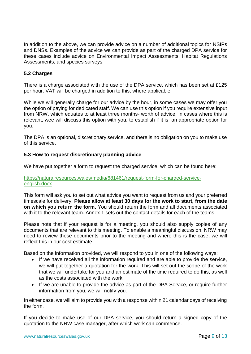In addition to the above, we can provide advice on a number of additional topics for NSIPs and DNSs. Examples of the advice we can provide as part of the charged DPA service for these cases include advice on Environmental Impact Assessments, Habitat Regulations Assessments, and species surveys.

## **5.2 Charges**

There is a charge associated with the use of the DPA service, which has been set at £125 per hour. VAT will be charged in addition to this, where applicable.

While we will generally charge for our advice by the hour, in some cases we may offer you the option of paying for dedicated staff. We can use this option if you require extensive input from NRW, which equates to at least three months- worth of advice. In cases where this is relevant, wee will discuss this option with you, to establish if it is an appropriate option for you.

The DPA is an optional, discretionary service, and there is no obligation on you to make use of this service.

## **5.3 How to request discretionary planning advice**

We have put together a form to request the charged service, which can be found here:

#### [https://naturalresources.wales/media/681461/request-form-for-charged-service](https://naturalresources.wales/media/681461/request-form-for-charged-service-english.docx)[english.docx](https://naturalresources.wales/media/681461/request-form-for-charged-service-english.docx)

This form will ask you to set out what advice you want to request from us and your preferred timescale for delivery. **Please allow at least 30 days for the work to start, from the date on which you return the form.** You should return the form and all documents associated with it to the relevant team. Annex 1 sets out the contact details for each of the teams.

Please note that if your request is for a meeting, you should also supply copies of any documents that are relevant to this meeting. To enable a meaningful discussion, NRW may need to review these documents prior to the meeting and where this is the case, we will reflect this in our cost estimate.

Based on the information provided, we will respond to you in one of the following ways:

- If we have received all the information required and are able to provide the service, we will put together a quotation for the work. This will set out the scope of the work that we will undertake for you and an estimate of the time required to do this, as well as the costs associated with the work.
- If we are unable to provide the advice as part of the DPA Service, or require further information from you, we will notify you.

In either case, we will aim to provide you with a response within 21 calendar days of receiving the form.

If you decide to make use of our DPA service, you should return a signed copy of the quotation to the NRW case manager, after which work can commence.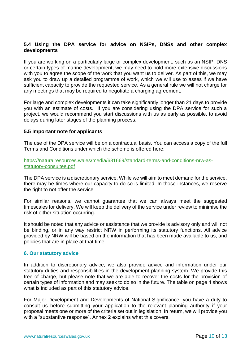### **5.4 Using the DPA service for advice on NSIPs, DNSs and other complex developments**

If you are working on a particularly large or complex development, such as an NSIP, DNS or certain types of marine development, we may need to hold more extensive discussions with you to agree the scope of the work that you want us to deliver. As part of this, we may ask you to draw up a detailed programme of work, which we will use to asses if we have sufficient capacity to provide the requested service. As a general rule we will not charge for any meetings that may be required to negotiate a charging agreement.

For large and complex developments it can take significantly longer than 21 days to provide you with an estimate of costs. If you are considering using the DPA service for such a project, we would recommend you start discussions with us as early as possible, to avoid delays during later stages of the planning process.

#### **5.5 Important note for applicants**

The use of the DPA service will be on a contractual basis. You can access a copy of the full Terms and Conditions under which the scheme is offered here:

[https://naturalresources.wales/media/681669/standard-terms-and-conditions-nrw-as](https://naturalresources.wales/media/681669/standard-terms-and-conditions-nrw-as-statutory-consultee.pdf)[statutory-consultee.pdf](https://naturalresources.wales/media/681669/standard-terms-and-conditions-nrw-as-statutory-consultee.pdf)

The DPA service is a discretionary service. While we will aim to meet demand for the service, there may be times where our capacity to do so is limited. In those instances, we reserve the right to not offer the service.

For similar reasons, we cannot guarantee that we can always meet the suggested timescales for delivery. We will keep the delivery of the service under review to minimise the risk of either situation occurring.

It should be noted that any advice or assistance that we provide is advisory only and will not be binding, or in any way restrict NRW in performing its statutory functions. All advice provided by NRW will be based on the information that has been made available to us, and policies that are in place at that time.

#### **6. Our statutory advice**

In addition to discretionary advice, we also provide advice and information under our statutory duties and responsibilities in the development planning system. We provide this free of charge, but please note that we are able to recover the costs for the provision of certain types of information and may seek to do so in the future. The table on page 4 shows what is included as part of this statutory advice.

For Major Development and Developments of National Significance, you have a duty to consult us before submitting your application to the relevant planning authority if your proposal meets one or more of the criteria set out in legislation. In return, we will provide you with a "substantive response". Annex 2 explains what this covers.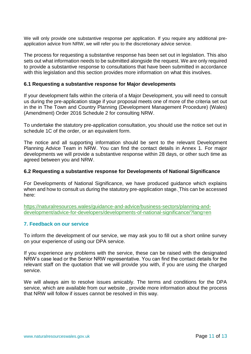We will only provide one substantive response per application. If you require any additional preapplication advice from NRW, we will refer you to the discretionary advice service.

The process for requesting a substantive response has been set out in legislation. This also sets out what information needs to be submitted alongside the request. We are only required to provide a substantive response to consultations that have been submitted in accordance with this legislation and this section provides more information on what this involves.

#### **6.1 Requesting a substantive response for Major developments**

If your development falls within the criteria of a Major Development, you will need to consult us during the pre-application stage if your proposal meets one of more of the criteria set out in the in The Town and Country Planning (Development Management Procedure) (Wales) (Amendment) Order 2016 Schedule 2 for consulting NRW.

To undertake the statutory pre-application consultation, you should use the notice set out in schedule 1C of the order, or an equivalent form.

The notice and all supporting information should be sent to the relevant Development Planning Advice Team in NRW. You can find the contact details in Annex 1. For major developments we will provide a substantive response within 28 days, or other such time as agreed between you and NRW.

#### **6.2 Requesting a substantive response for Developments of National Significance**

For Developments of National Significance, we have produced guidance which explains when and how to consult us during the statutory pre-application stage. This can be accessed here:

[https://naturalresources.wales/guidance-and-advice/business-sectors/planning-and](https://naturalresources.wales/guidance-and-advice/business-sectors/planning-and-development/advice-for-developers/developments-of-national-significance/?lang=en)[development/advice-for-developers/developments-of-national-significance/?lang=en](https://naturalresources.wales/guidance-and-advice/business-sectors/planning-and-development/advice-for-developers/developments-of-national-significance/?lang=en)

## **7. Feedback on our service**

To inform the development of our service, we may ask you to fill out a short online survey on your experience of using our DPA service.

If you experience any problems with the service, these can be raised with the designated NRW's case lead or the Senior NRW representative. You can find the contact details for the relevant staff on the quotation that we will provide you with, if you are using the charged service.

We will always aim to resolve issues amicably. The terms and conditions for the DPA service, which are available from our website , provide more information about the process that NRW will follow if issues cannot be resolved in this way.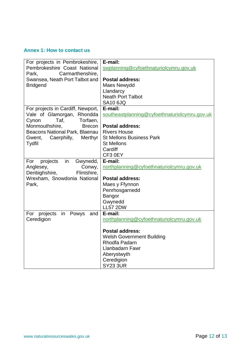## **Annex 1: How to contact us**

| For projects in Pembrokeshire,     | E-mail:                                       |
|------------------------------------|-----------------------------------------------|
| Pembrokeshire Coast National       | swplanning@cyfoethnaturiolcymru.gov.uk        |
| Park,<br>Carmarthenshire,          |                                               |
| Swansea, Neath Port Talbot and     | <b>Postal address:</b>                        |
| <b>Bridgend</b>                    | Maes Newydd                                   |
|                                    | Llandarcy                                     |
|                                    | <b>Neath Port Talbot</b>                      |
|                                    | <b>SA10 6JQ</b>                               |
| For projects in Cardiff, Newport,  | E-mail:                                       |
| Vale of Glamorgan, Rhondda         | southeastplanning@cyfoethnaturiolcymru.gov.uk |
| Taf,<br>Torfaen,<br>Cynon          |                                               |
| Monmouthshire,<br><b>Brecon</b>    | <b>Postal address:</b>                        |
| Beacons National Park, Blaenau     | <b>Rivers House</b>                           |
| Caerphilly,<br>Merthyr<br>Gwent,   | <b>St Mellons Business Park</b>               |
| Tydfil                             | <b>St Mellons</b>                             |
|                                    | Cardiff                                       |
|                                    | CF3 0EY                                       |
| projects<br>in<br>Gwynedd,<br>For  | E-mail:                                       |
| Anglesey,<br>Conwy,                | northplanning@cyfoethnaturiolcymru.gov.uk     |
| Flintshire,<br>Denbighshire,       |                                               |
| Wrexham, Snowdonia National        | <b>Postal address:</b>                        |
| Park,                              | Maes y Ffynnon                                |
|                                    | Penrhosgarnedd                                |
|                                    | Bangor                                        |
|                                    | Gwynedd                                       |
|                                    | <b>LL57 2DW</b>                               |
| For projects<br>in<br>Powys<br>and | E-mail:                                       |
| Ceredigion                         | northplanning@cyfoethnaturiolcymru.gov.uk     |
|                                    |                                               |
|                                    | <b>Postal address:</b>                        |
|                                    | <b>Welsh Government Building</b>              |
|                                    | Rhodfa Padarn                                 |
|                                    | Llanbadarn Fawr                               |
|                                    | Aberystwyth                                   |
|                                    | Ceredigion                                    |
|                                    | <b>SY23 3UR</b>                               |